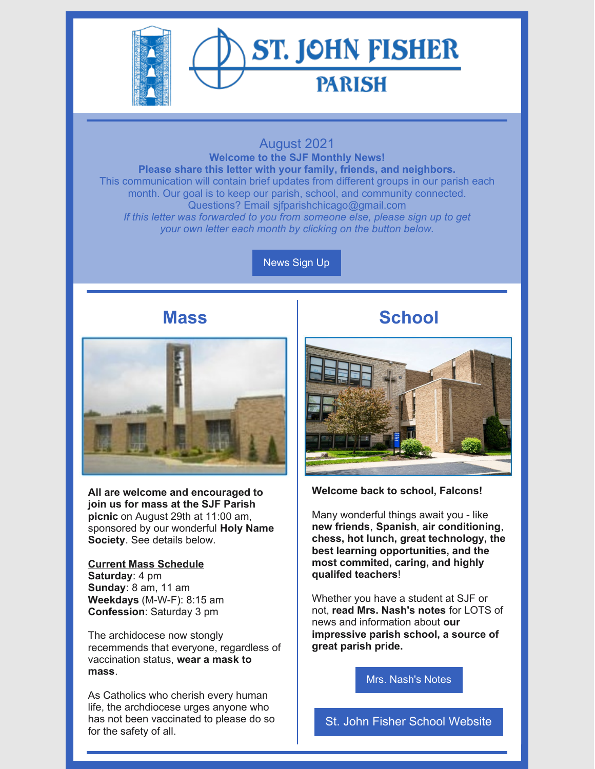

### August 2021

**Welcome to the SJF Monthly News! Please share this letter with your family, friends, and neighbors.** This communication will contain brief updates from different groups in our parish each month. Our goal is to keep our parish, school, and community connected. Questions? Email [sjfparishchicago@gmail.com](mailto:sjfparishchicago@gmail.com) *If this letter was forwarded to you from someone else, please sign up to get your own letter each month by clicking on the button below.*

[News](https://docs.google.com/forms/d/e/1FAIpQLSey4SlJOgpZFdzyTJAg0kyqzXphBqVOrwQeI0U8MzsWtt6Hvg/viewform?usp=sf_link) Sign Up

## **Mass**



**All are welcome and encouraged to join us for mass at the SJF Parish picnic** on August 29th at 11:00 am, sponsored by our wonderful **Holy Name Society**. See details below.

#### **Current Mass Schedule Saturday**: 4 pm **Sunday**: 8 am, 11 am **Weekdays** (M-W-F): 8:15 am **Confession**: Saturday 3 pm

The archidocese now stongly recemmends that everyone, regardless of vaccination status, **wear a mask to mass**.

As Catholics who cherish every human life, the archdiocese urges anyone who has not been vaccinated to please do so for the safety of all.

# **School**



**Welcome back to school, Falcons!**

Many wonderful things await you - like **new friends**, **Spanish**, **air conditioning**, **chess, hot lunch, great technology, the best learning opportunities, and the most commited, caring, and highly qualifed teachers**!

Whether you have a student at SJF or not, **read Mrs. Nash's notes** for LOTS of news and information about **our impressive parish school, a source of great parish pride.**

Mrs. [Nash's](https://www.sjfschool.net/assets/1/16/Notes_From_Mrs._Nash,_August_13,_2021_-_Summer_Newsletter.pdf?6087) Notes

St. John Fisher School [Website](https://www.sjfschool.net/)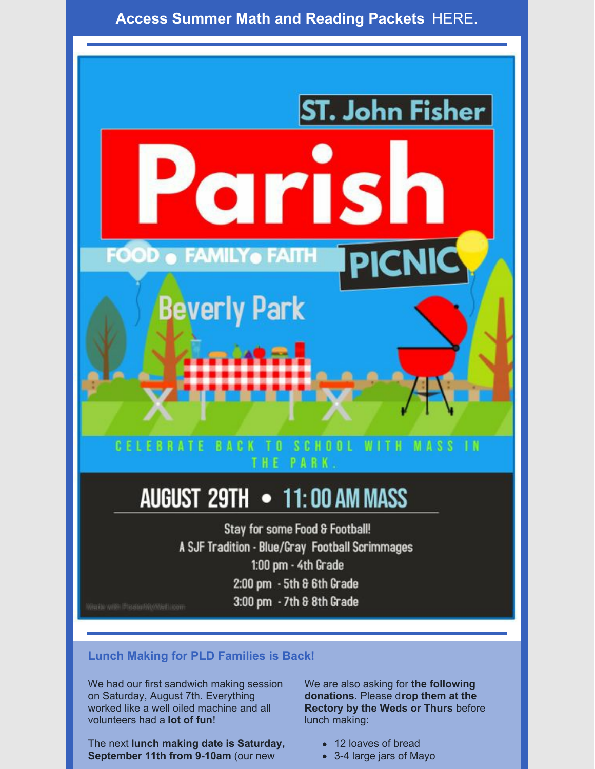## **Access Summer Math and Reading Packets** [HERE](https://www.sjfschool.net/academics/summer-readingmath-packets/)**.**



# AUGUST 29TH • 11:00 AM MASS

Stay for some Food & Football! A SJF Tradition - Blue/Gray Football Scrimmages 1:00 pm - 4th Grade 2:00 pm - 5th & 6th Grade 3:00 pm - 7th & 8th Grade

### **Lunch Making for PLD Families is Back!**

We had our first sandwich making session on Saturday, August 7th. Everything worked like a well oiled machine and all volunteers had a **lot of fun**!

The next **lunch making date is Saturday, September 11th from 9-10am** (our new

We are also asking for **the following donations**. Please d**rop them at the Rectory by the Weds or Thurs** before lunch making:

- 12 loaves of bread
- 3-4 large jars of Mayo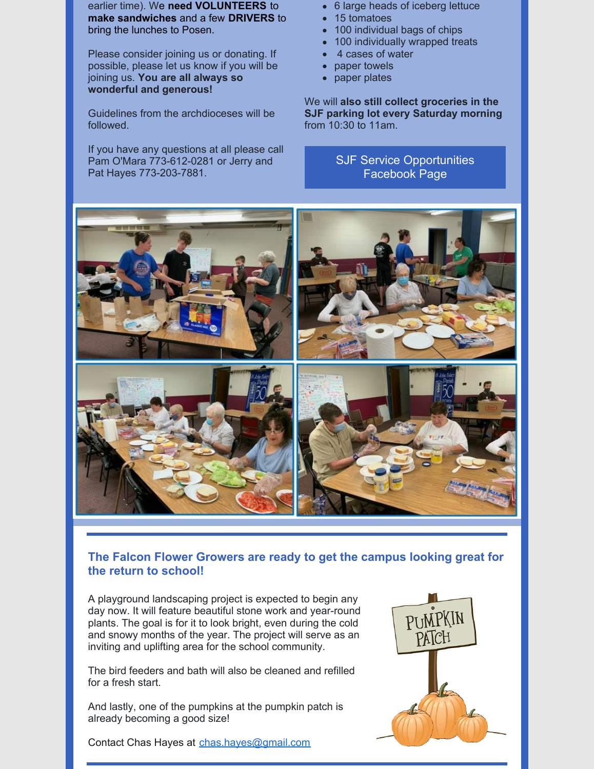earlier time). We **need VOLUNTEERS** to **make sandwiches** and a few **DRIVERS** to bring the lunches to Posen.

Please consider joining us or donating. If possible, please let us know if you will be joining us. **You are all always so wonderful and generous!**

Guidelines from the archdioceses will be followed.

If you have any questions at all please call Pam O'Mara 773-612-0281 or Jerry and Pat Hayes 773-203-7881.

- 6 large heads of iceberg lettuce
- 15 tomatoes
- 100 individual bags of chips
- 100 individually wrapped treats
- 4 cases of water
- paper towels
- paper plates

We will **also still collect groceries in the SJF parking lot every Saturday morning** from 10:30 to 11am.

> SJF Service [Opportunities](https://www.facebook.com/groups/326861160840154) Facebook Page



### **The Falcon Flower Growers are ready to get the campus looking great for the return to school!**

A playground landscaping project is expected to begin any day now. It will feature beautiful stone work and year-round plants. The goal is for it to look bright, even during the cold and snowy months of the year. The project will serve as an inviting and uplifting area for the school community.

The bird feeders and bath will also be cleaned and refilled for a fresh start.

And lastly, one of the pumpkins at the pumpkin patch is already becoming a good size!

Contact Chas Hayes at [chas.hayes@gmail.com](mailto:chas.hayes@gmail.com)

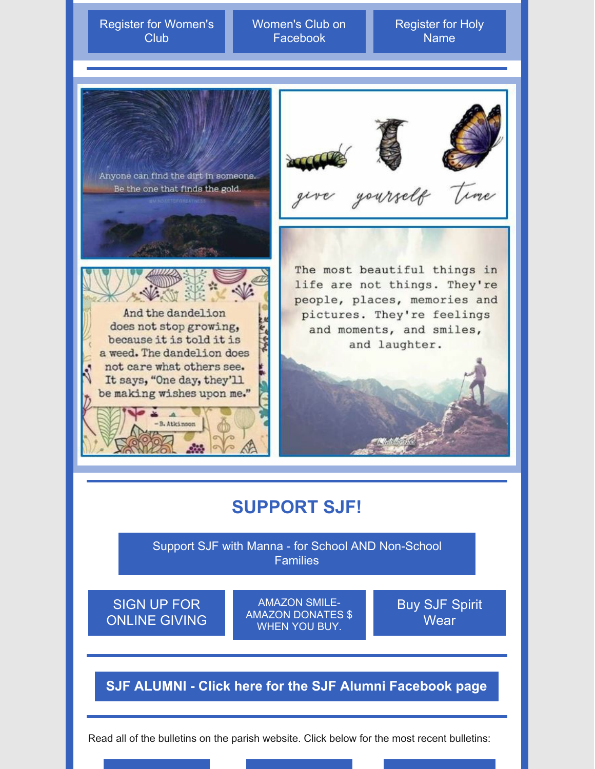Register for [Women's](https://docs.google.com/forms/d/e/1FAIpQLSeUDW5yZlErPx-h6YHYHB5Wsp4O37JUrTmzdr1AwTXDYnERzg/viewform?usp=sf_link) Club

Women's Club on [Facebook](https://www.facebook.com/groups/639179866094734)

[Register](https://docs.google.com/forms/d/e/1FAIpQLSdSak7puOEs-SnSwYZvuko_OEzMs4-P9CyLlE02y8bEOEEzWw/viewform?usp=sf_link) for Holy Name



The most beautiful things in life are not things. They're people, places, memories and pictures. They're feelings and moments, and smiles, and laughter.

# **SUPPORT SJF!**

Support SJF with Manna - for School AND [Non-School](https://www.sjfschool.net/manna/) **Families** 

SIGN UP FOR [ONLINE](https://giving.ncsservices.org/App/Giving/stjohnfisherparish) GIVING

AMAZON SMILE-AMAZON [DONATES](https://www.sjfschool.net/assets/1/6/SJF_Amazon_Smile_Support_US_Web.pdf) \$ WHEN YOU BUY.

Buy SJF Spirit **[Wear](https://teamlocker.squadlocker.com/#/lockers/st-john-fisher-school?_k=mqsqo3)** 

## **SJF ALUMNI - Click here for the SJF Alumni [Facebook](https://www.facebook.com/groups/276685643404330/?ref=share) page**

Read all of the bulletins on the parish website. Click below for the most recent bulletins: